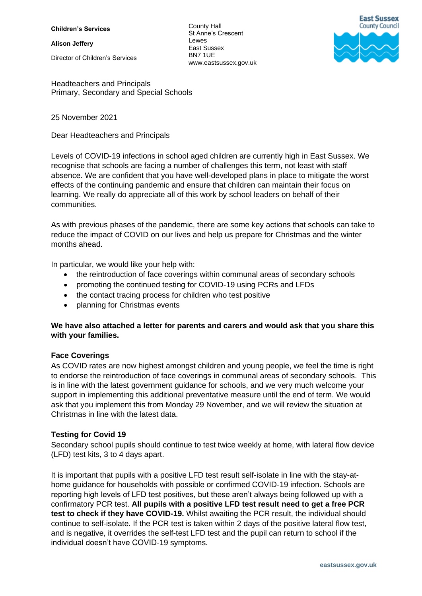**Children's Services**

**Alison Jeffery**

Director of Children's Services

County Hall St Anne's Crescent **Lewes** East Sussex BN7 1UE www.eastsussex.gov.uk



Headteachers and Principals Primary, Secondary and Special Schools

### 25 November 2021

Dear Headteachers and Principals

Levels of COVID-19 infections in school aged children are currently high in East Sussex. We recognise that schools are facing a number of challenges this term, not least with staff absence. We are confident that you have well-developed plans in place to mitigate the worst effects of the continuing pandemic and ensure that children can maintain their focus on learning. We really do appreciate all of this work by school leaders on behalf of their communities.

As with previous phases of the pandemic, there are some key actions that schools can take to reduce the impact of COVID on our lives and help us prepare for Christmas and the winter months ahead.

In particular, we would like your help with:

- the reintroduction of face coverings within communal areas of secondary schools
- promoting the continued testing for COVID-19 using PCRs and LFDs
- the contact tracing process for children who test positive
- planning for Christmas events

# **We have also attached a letter for parents and carers and would ask that you share this with your families.**

# **Face Coverings**

As COVID rates are now highest amongst children and young people, we feel the time is right to endorse the reintroduction of face coverings in communal areas of secondary schools. This is in line with the latest government guidance for schools, and we very much welcome your support in implementing this additional preventative measure until the end of term. We would ask that you implement this from Monday 29 November, and we will review the situation at Christmas in line with the latest data.

# **Testing for Covid 19**

Secondary school pupils should continue to test twice weekly at home, with lateral flow device (LFD) test kits, 3 to 4 days apart.

It is important that pupils with a positive LFD test result self-isolate in line with the stay-athome guidance for households with possible or confirmed COVID-19 infection. Schools are reporting high levels of LFD test positives, but these aren't always being followed up with a confirmatory PCR test. **All pupils with a positive LFD test result need to get a free PCR test to check if they have COVID-19.** Whilst awaiting the PCR result, the individual should continue to self-isolate. If the PCR test is taken within 2 days of the positive lateral flow test, and is negative, it overrides the self-test LFD test and the pupil can return to school if the individual doesn't have COVID-19 symptoms.